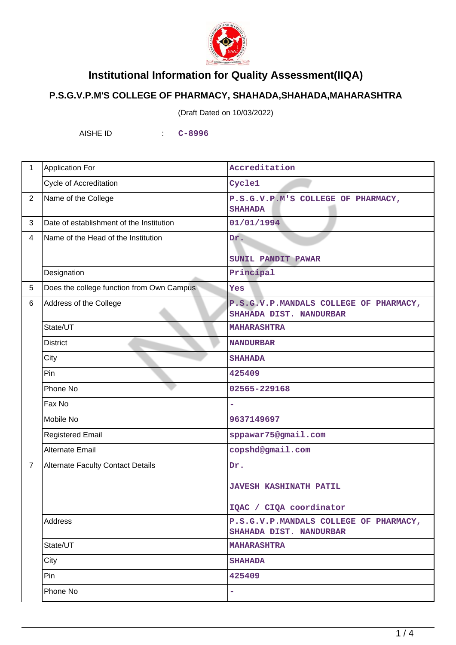

## **Institutional Information for Quality Assessment(IIQA)**

## **P.S.G.V.P.M'S COLLEGE OF PHARMACY, SHAHADA,SHAHADA,MAHARASHTRA**

(Draft Dated on 10/03/2022)

AISHE ID : **C-8996**

| $\mathbf 1$    | <b>Application For</b><br>Accreditation   |                                                                   |  |
|----------------|-------------------------------------------|-------------------------------------------------------------------|--|
|                | Cycle of Accreditation                    | Cycle1                                                            |  |
| $\overline{2}$ | Name of the College                       | P.S.G.V.P.M'S COLLEGE OF PHARMACY,<br><b>SHAHADA</b>              |  |
| 3              | Date of establishment of the Institution  | 01/01/1994                                                        |  |
| $\overline{4}$ | Name of the Head of the Institution       | Dr.<br>SUNIL PANDIT PAWAR                                         |  |
|                | Designation                               | Principal                                                         |  |
| 5              | Does the college function from Own Campus | <b>Yes</b>                                                        |  |
| 6              | Address of the College                    | P.S.G.V.P.MANDALS COLLEGE OF PHARMACY,<br>SHAHADA DIST. NANDURBAR |  |
|                | State/UT                                  | <b>MAHARASHTRA</b>                                                |  |
|                | <b>District</b>                           | <b>NANDURBAR</b>                                                  |  |
|                | City                                      | <b>SHAHADA</b>                                                    |  |
|                | Pin                                       | 425409                                                            |  |
|                | Phone No                                  | 02565-229168                                                      |  |
|                | Fax No                                    |                                                                   |  |
|                | Mobile No                                 | 9637149697                                                        |  |
|                | <b>Registered Email</b>                   | sppawar75@gmail.com                                               |  |
|                | <b>Alternate Email</b>                    | copshd@gmail.com                                                  |  |
| $\overline{7}$ | <b>Alternate Faculty Contact Details</b>  | Dr.                                                               |  |
|                |                                           | <b>JAVESH KASHINATH PATIL</b>                                     |  |
|                |                                           | IQAC / CIQA coordinator                                           |  |
|                | Address                                   | P.S.G.V.P.MANDALS COLLEGE OF PHARMACY,<br>SHAHADA DIST. NANDURBAR |  |
|                | State/UT                                  | <b>MAHARASHTRA</b>                                                |  |
|                | City                                      | <b>SHAHADA</b>                                                    |  |
|                | Pin                                       | 425409                                                            |  |
|                | Phone No                                  | ÷                                                                 |  |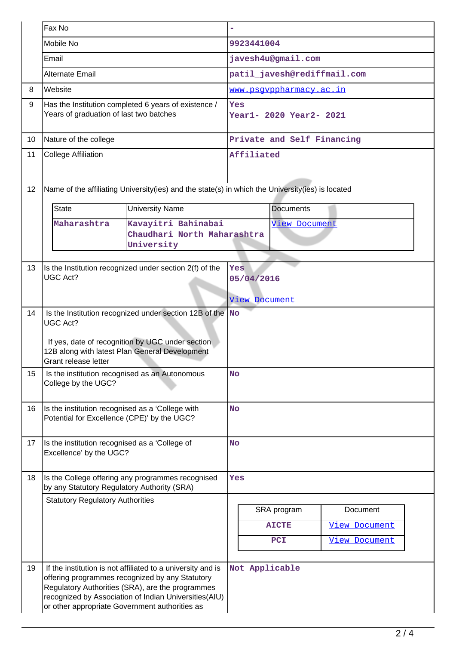|    | Fax No                                                                                                                                                                                                                 |                                                                                                                                                                                                                                                                               |                            |                                           |                                                          |  |  |
|----|------------------------------------------------------------------------------------------------------------------------------------------------------------------------------------------------------------------------|-------------------------------------------------------------------------------------------------------------------------------------------------------------------------------------------------------------------------------------------------------------------------------|----------------------------|-------------------------------------------|----------------------------------------------------------|--|--|
|    | Mobile No                                                                                                                                                                                                              |                                                                                                                                                                                                                                                                               | 9923441004                 |                                           |                                                          |  |  |
|    | Email                                                                                                                                                                                                                  |                                                                                                                                                                                                                                                                               | javesh4u@gmail.com         |                                           |                                                          |  |  |
|    | <b>Alternate Email</b>                                                                                                                                                                                                 |                                                                                                                                                                                                                                                                               |                            |                                           | patil_javesh@rediffmail.com                              |  |  |
| 8  | Website                                                                                                                                                                                                                |                                                                                                                                                                                                                                                                               |                            | <u>www.psgvppharmacy.ac.in</u>            |                                                          |  |  |
| 9  | Has the Institution completed 6 years of existence /<br>Years of graduation of last two batches                                                                                                                        |                                                                                                                                                                                                                                                                               |                            | Yes<br>Year1- 2020 Year2- 2021            |                                                          |  |  |
| 10 | Nature of the college                                                                                                                                                                                                  |                                                                                                                                                                                                                                                                               | Private and Self Financing |                                           |                                                          |  |  |
| 11 | <b>College Affiliation</b>                                                                                                                                                                                             |                                                                                                                                                                                                                                                                               | Affiliated                 |                                           |                                                          |  |  |
| 12 | Name of the affiliating University(ies) and the state(s) in which the University(ies) is located                                                                                                                       |                                                                                                                                                                                                                                                                               |                            |                                           |                                                          |  |  |
|    | <b>State</b>                                                                                                                                                                                                           | <b>University Name</b>                                                                                                                                                                                                                                                        |                            | <b>Documents</b>                          |                                                          |  |  |
|    | Kavayitri Bahinabai<br>Maharashtra<br>Chaudhari North Maharashtra<br>University                                                                                                                                        |                                                                                                                                                                                                                                                                               | View Document              |                                           |                                                          |  |  |
| 13 | Is the Institution recognized under section 2(f) of the<br><b>UGC Act?</b>                                                                                                                                             |                                                                                                                                                                                                                                                                               |                            | Yes<br>05/04/2016<br><b>View Document</b> |                                                          |  |  |
| 14 | Is the Institution recognized under section 12B of the $\sqrt{\ }$ No<br><b>UGC Act?</b><br>If yes, date of recognition by UGC under section<br>12B along with latest Plan General Development<br>Grant release letter |                                                                                                                                                                                                                                                                               |                            |                                           |                                                          |  |  |
| 15 | Is the institution recognised as an Autonomous<br>College by the UGC?                                                                                                                                                  |                                                                                                                                                                                                                                                                               | <b>No</b>                  |                                           |                                                          |  |  |
| 16 | Is the institution recognised as a 'College with<br>Potential for Excellence (CPE)' by the UGC?                                                                                                                        |                                                                                                                                                                                                                                                                               | <b>No</b>                  |                                           |                                                          |  |  |
| 17 | Is the institution recognised as a 'College of<br>Excellence' by the UGC?                                                                                                                                              |                                                                                                                                                                                                                                                                               | <b>No</b>                  |                                           |                                                          |  |  |
| 18 | Is the College offering any programmes recognised<br>by any Statutory Regulatory Authority (SRA)                                                                                                                       |                                                                                                                                                                                                                                                                               | Yes                        |                                           |                                                          |  |  |
|    | <b>Statutory Regulatory Authorities</b>                                                                                                                                                                                |                                                                                                                                                                                                                                                                               |                            | SRA program<br><b>AICTE</b><br>PCI        | Document<br><b>View Document</b><br><b>View Document</b> |  |  |
| 19 |                                                                                                                                                                                                                        | If the institution is not affiliated to a university and is<br>offering programmes recognized by any Statutory<br>Regulatory Authorities (SRA), are the programmes<br>recognized by Association of Indian Universities(AIU)<br>or other appropriate Government authorities as |                            | Not Applicable                            |                                                          |  |  |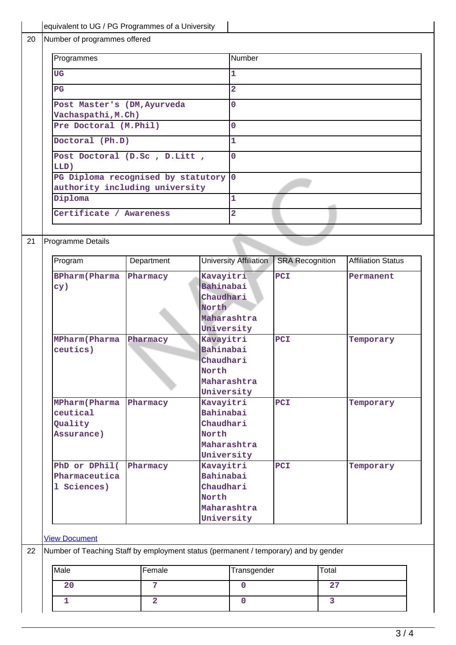|                                                                                                                                              | equivalent to UG / PG Programmes of a University                                    |                                                |                        |                        |                |                           |  |  |                |  |  |  |
|----------------------------------------------------------------------------------------------------------------------------------------------|-------------------------------------------------------------------------------------|------------------------------------------------|------------------------|------------------------|----------------|---------------------------|--|--|----------------|--|--|--|
| Number of programmes offered                                                                                                                 |                                                                                     |                                                |                        |                        |                |                           |  |  |                |  |  |  |
| Programmes                                                                                                                                   |                                                                                     | Number                                         |                        |                        |                |                           |  |  |                |  |  |  |
| <b>UG</b>                                                                                                                                    |                                                                                     | 1                                              |                        |                        |                |                           |  |  |                |  |  |  |
| $\overline{PG}$                                                                                                                              |                                                                                     | $\overline{2}$                                 |                        |                        |                |                           |  |  |                |  |  |  |
| Post Master's (DM, Ayurveda                                                                                                                  |                                                                                     | $\overline{0}$                                 |                        |                        |                |                           |  |  |                |  |  |  |
| Vachaspathi, M.Ch)                                                                                                                           |                                                                                     |                                                |                        |                        |                |                           |  |  |                |  |  |  |
| Pre Doctoral (M.Phil)                                                                                                                        |                                                                                     |                                                | $\overline{0}$         |                        |                |                           |  |  |                |  |  |  |
| Doctoral (Ph.D)<br>Post Doctoral (D.Sc, D.Litt,<br>LLD)<br>PG Diploma recognised by statutory 0<br>authority including university<br>Diploma |                                                                                     | $\overline{1}$<br>$\mathbf{0}$<br>$\mathbf{1}$ |                        |                        |                |                           |  |  |                |  |  |  |
|                                                                                                                                              |                                                                                     |                                                |                        |                        |                | Certificate / Awareness   |  |  | $\overline{2}$ |  |  |  |
|                                                                                                                                              |                                                                                     |                                                |                        |                        |                |                           |  |  |                |  |  |  |
|                                                                                                                                              |                                                                                     |                                                |                        |                        |                | Programme Details         |  |  |                |  |  |  |
|                                                                                                                                              |                                                                                     |                                                |                        |                        |                |                           |  |  |                |  |  |  |
| Program                                                                                                                                      | Department                                                                          |                                                | University Affiliation | <b>SRA Recognition</b> |                | <b>Affiliation Status</b> |  |  |                |  |  |  |
| <b>BPharm</b> (Pharma                                                                                                                        | Pharmacy                                                                            | Kavayitri                                      |                        | PCI                    |                | Permanent                 |  |  |                |  |  |  |
| cy)                                                                                                                                          |                                                                                     | Bahinabai                                      |                        |                        |                |                           |  |  |                |  |  |  |
|                                                                                                                                              |                                                                                     | Chaudhari                                      |                        |                        |                |                           |  |  |                |  |  |  |
|                                                                                                                                              |                                                                                     | North                                          |                        |                        |                |                           |  |  |                |  |  |  |
|                                                                                                                                              |                                                                                     |                                                | Maharashtra            |                        |                |                           |  |  |                |  |  |  |
|                                                                                                                                              |                                                                                     | University                                     |                        |                        |                |                           |  |  |                |  |  |  |
| <b>MPharm(Pharma</b>                                                                                                                         | Pharmacy                                                                            |                                                | Kavayitri              |                        |                | Temporary                 |  |  |                |  |  |  |
| ceutics)                                                                                                                                     |                                                                                     | Bahinabai                                      |                        |                        |                |                           |  |  |                |  |  |  |
|                                                                                                                                              |                                                                                     | Chaudhari                                      |                        |                        |                |                           |  |  |                |  |  |  |
|                                                                                                                                              |                                                                                     | North                                          |                        |                        |                |                           |  |  |                |  |  |  |
|                                                                                                                                              |                                                                                     |                                                | Maharashtra            |                        |                |                           |  |  |                |  |  |  |
|                                                                                                                                              |                                                                                     |                                                | University             |                        |                |                           |  |  |                |  |  |  |
| <b>MPharm(Pharma</b>                                                                                                                         | Pharmacy                                                                            | Kavayitri                                      |                        | PCI                    |                | Temporary                 |  |  |                |  |  |  |
| ceutical                                                                                                                                     |                                                                                     | Bahinabai                                      |                        |                        |                |                           |  |  |                |  |  |  |
| Quality                                                                                                                                      |                                                                                     | Chaudhari                                      |                        |                        |                |                           |  |  |                |  |  |  |
| Assurance)                                                                                                                                   |                                                                                     | North                                          |                        |                        |                |                           |  |  |                |  |  |  |
|                                                                                                                                              |                                                                                     |                                                | Maharashtra            |                        |                |                           |  |  |                |  |  |  |
|                                                                                                                                              |                                                                                     | University                                     |                        |                        |                |                           |  |  |                |  |  |  |
| PhD or DPhil(                                                                                                                                | Pharmacy                                                                            | Kavayitri                                      |                        | PCI                    |                | Temporary                 |  |  |                |  |  |  |
| Pharmaceutica                                                                                                                                |                                                                                     |                                                | Bahinabai              |                        |                |                           |  |  |                |  |  |  |
| 1 Sciences)                                                                                                                                  |                                                                                     | Chaudhari                                      |                        |                        |                |                           |  |  |                |  |  |  |
|                                                                                                                                              |                                                                                     | North                                          |                        |                        |                |                           |  |  |                |  |  |  |
|                                                                                                                                              |                                                                                     |                                                | Maharashtra            |                        |                |                           |  |  |                |  |  |  |
|                                                                                                                                              |                                                                                     | University                                     |                        |                        |                |                           |  |  |                |  |  |  |
|                                                                                                                                              |                                                                                     |                                                |                        |                        |                |                           |  |  |                |  |  |  |
| <b>View Document</b>                                                                                                                         |                                                                                     |                                                |                        |                        |                |                           |  |  |                |  |  |  |
|                                                                                                                                              | Number of Teaching Staff by employment status (permanent / temporary) and by gender |                                                |                        |                        |                |                           |  |  |                |  |  |  |
| Male                                                                                                                                         | Female                                                                              |                                                | Transgender            |                        | Total          |                           |  |  |                |  |  |  |
| 20                                                                                                                                           | $7\phantom{.}7$                                                                     |                                                | $\mathbf 0$            |                        | 27             |                           |  |  |                |  |  |  |
| 1                                                                                                                                            | $\overline{2}$                                                                      |                                                |                        |                        | $\overline{3}$ |                           |  |  |                |  |  |  |
|                                                                                                                                              |                                                                                     |                                                | $\mathbf 0$            |                        |                |                           |  |  |                |  |  |  |
|                                                                                                                                              |                                                                                     |                                                |                        |                        |                |                           |  |  |                |  |  |  |